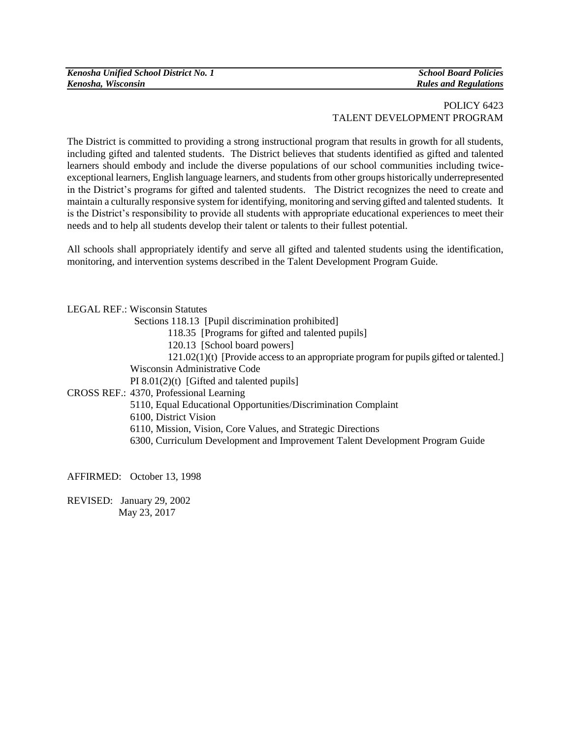## POLICY 6423 TALENT DEVELOPMENT PROGRAM

The District is committed to providing a strong instructional program that results in growth for all students, including gifted and talented students. The District believes that students identified as gifted and talented learners should embody and include the diverse populations of our school communities including twiceexceptional learners, English language learners, and students from other groups historically underrepresented in the District's programs for gifted and talented students. The District recognizes the need to create and maintain a culturally responsive system for identifying, monitoring and serving gifted and talented students. It is the District's responsibility to provide all students with appropriate educational experiences to meet their needs and to help all students develop their talent or talents to their fullest potential.

All schools shall appropriately identify and serve all gifted and talented students using the identification, monitoring, and intervention systems described in the Talent Development Program Guide.

LEGAL REF.: Wisconsin Statutes Sections 118.13 [Pupil discrimination prohibited] 118.35 [Programs for gifted and talented pupils] 120.13 [School board powers] 121.02(1)(t) [Provide access to an appropriate program for pupils gifted or talented.] Wisconsin Administrative Code PI 8.01(2)(t) [Gifted and talented pupils] CROSS REF.: 4370, Professional Learning 5110, Equal Educational Opportunities/Discrimination Complaint 6100, District Vision 6110, Mission, Vision, Core Values, and Strategic Directions 6300, Curriculum Development and Improvement Talent Development Program Guide

AFFIRMED: October 13, 1998

REVISED: January 29, 2002 May 23, 2017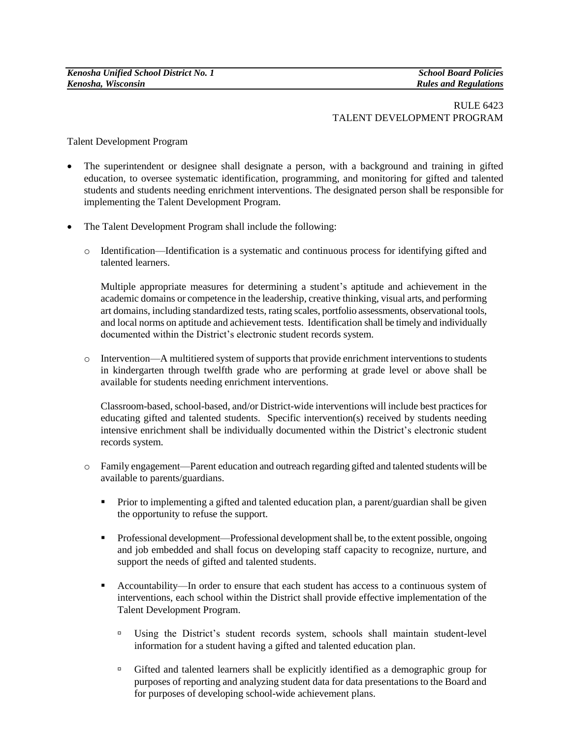## RULE 6423 TALENT DEVELOPMENT PROGRAM

Talent Development Program

- The superintendent or designee shall designate a person, with a background and training in gifted education, to oversee systematic identification, programming, and monitoring for gifted and talented students and students needing enrichment interventions. The designated person shall be responsible for implementing the Talent Development Program.
- The Talent Development Program shall include the following:
	- o Identification—Identification is a systematic and continuous process for identifying gifted and talented learners.

Multiple appropriate measures for determining a student's aptitude and achievement in the academic domains or competence in the leadership, creative thinking, visual arts, and performing art domains, including standardized tests, rating scales, portfolio assessments, observational tools, and local norms on aptitude and achievement tests. Identification shall be timely and individually documented within the District's electronic student records system.

 $\circ$  Intervention—A multitiered system of supports that provide enrichment interventions to students in kindergarten through twelfth grade who are performing at grade level or above shall be available for students needing enrichment interventions.

Classroom-based, school-based, and/or District-wide interventions will include best practices for educating gifted and talented students. Specific intervention(s) received by students needing intensive enrichment shall be individually documented within the District's electronic student records system.

- o Family engagement—Parent education and outreach regarding gifted and talented students will be available to parents/guardians.
	- **Prior to implementing a gifted and talented education plan, a parent/guardian shall be given** the opportunity to refuse the support.
	- Professional development—Professional development shall be, to the extent possible, ongoing and job embedded and shall focus on developing staff capacity to recognize, nurture, and support the needs of gifted and talented students.
	- Accountability—In order to ensure that each student has access to a continuous system of interventions, each school within the District shall provide effective implementation of the Talent Development Program.
		- Using the District's student records system, schools shall maintain student-level information for a student having a gifted and talented education plan.
		- Gifted and talented learners shall be explicitly identified as a demographic group for purposes of reporting and analyzing student data for data presentations to the Board and for purposes of developing school-wide achievement plans.